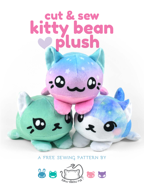# cut & sew kitty bean

#### **a free sewing pattern by**

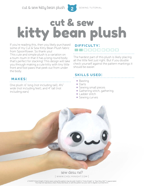

## cut & sew kitty bean plush

**2**

If you're reading this, then you likely purchased some of my Cut & Sew Kitty Bean Plush fabric from Spoonflower. So thank you! This cute and simple plush is a variation on a tsum-tsum in that it has a long round body that's perfect for stacking! This design will take you through making a cute kitty with tiny little front and foot paws that peek out from under the body.

### **difficulty:**

The hardest part of this plush is likely placing all the little feet just right. But if you double check yourself against the pattern markings it should be easier.

#### **skills used:**

**makes:**

One plush: 6" long (not including tail), 4½" wide (not including feet), and 4" tall (not including ears)

#### • Basting

- Darts
- Sewing small pieces
- Gathering stitch, gathering
- Ladder stitch
- Sewing curves



// ©2017 Choly Knight // Items sewn using this pattern may be sold. Credit to "Choly Knight" or "Sew Desu Ne?" is appreciated.<br>You may not reproduce, share, freely distribute, or sell this pattern as your own in digital or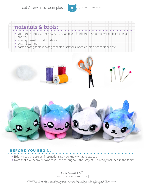

#### **materials & tools:**

- your pre-printed Cut & Sew Kitty Bean plush fabric from Spoonflower (at least one fat quarter)
- **•** sewing thread to match fabrics
- poly-fil stuffing
- basic sewing tools (sewing machine, scissors, needles, pins, seam ripper, etc.)





#### **before you begin:**

- Briefly read the project instructions so you know what to expect.
- Note that a ¼" seam allowance is used throughout the project -- already included in the fabric.

sew desu ne? | www.cholyknight.com |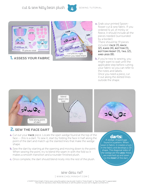cut & sew kitty bean plush  $\overline{A}$  sewing tutorial







a. Grab your printed Spoonflower cut & sew fabric. If you ordered ¼ yd. of minky or fleece, it should include all the pieces needed (surrounded by a border).

#### There should be 19 pieces included: **face (1), back (2), ears (4), bottom (1), bottom front (1), tail (2), and legs (8).**

**b.** If you're new to sewing, you might want to wait until the applicable step before cutting your fabric so you can refer to the notes and labels. Once you need a piece, cut it out along the dotted lines outside the shape.



- a. Cut out your **face** piece. Locate the open wedge found at the top of the face -- this is a dart. To sew it, start by folding the face in half along the point of the dart and match up the slanted lines that make the wedge shape.
- **b.** Sew the dart by starting at the opening and moving down to the point. When sewing the point, try to blend the seam in with the fold so it makes a smooth transition and a rounder finished plush.
- c. Once complete, the dart should blend nicely into the rest of the plush.

#### **darts:**

A wedge-shaped gap found in a pattern. When sewn in fabric, it creates a tuck in the fabric and develops a 3D shape. The diagonal sides of the wedge are the **legs**; these are matched up and sewn **to the POINT** of the dark.

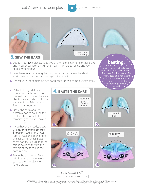





#### 3. **sew the ears**

- a. Cut out your **ear** pieces. Take two of them; one in inner ear fabric and one in outer ear fabric. Align them with right sides facing and raw edges matching up.
- **b.** Sew them together along the long curved edge. Leave the short straight-ish edge free for turning right side out.
- c. Repeat with the remaining two ear pieces for two complete ears total.
- a. Refer to the quidelines printed on the fabric to find the fold markings for the ears. Use this as a guide to fold the ear with inner fabrics facing. Pin the ear together.
- **b.** Baste the ear along the bottom edge to hold the fold in place. Repeat with the remaining ear so you have a mirrored pair.
- c. If you haven't already, locate the *ear placement colored bands* printed on the **face** fabric. Place the open end of the ear within these placement bands. Be sure that the fold is pointing toward the middle of the face. Pin the ears in place.
- d. Baste the ears to the face within the seam allowances to hold them in place for future steps.



sew desu ne? | www.cholyknight.com |

#### **basting:**

A form of temporar sewing meant to hold pieces in place. A long stitch length is often used for this reason. The finished result is not meant to be seen and sometimes is even removed later (depending on your

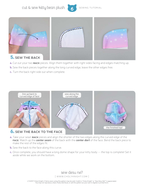cut & sew kitty bean plush and sewing tutorial





**6**

- a. Cut out your two **back** pieces. Align them together with right sides facing and edges matching up.
- **b.** Sew the back pieces together along the long curved edge, leave the other edges free.
- c. Turn the back right side out when complete.



- a. Take your sewn **back** pieces and align the shorter of the two edges along the curved edge of the **face**. Match up the *center seam* of the back with the *center dart* of the face. Bend the back piece to make the rest of the edges fit.
- **b.** Sew the back to the face along this curve.
- c. Once complete, you should have a long dome shape for your kitty body -- the top is complete! Set it aside while we work on the bottom.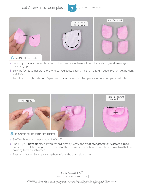cut & sew kitty bean plush 7 sewing Tutorial





- a. Cut out your **feet** pieces. Take two of them and align them with right sides facing and raw edges matching up.
- **b.** Sew the feet together along the long curved edge, leaving the short straight edge free for turning right side out.
- c. Turn the foot right side out. Repeat with the remaining six feet pieces for four complete feet total.



- a. Stuff each foot with just a little bit of stuffing.
- **b.** Cut out your **BOTTOM** piece. If you haven't already, locate the *front foot placement colored bands* printed on the fabric. Align the open end of the feet within these bands. You should have two that are pointing toward each other.
- c. Baste the feet in place by sewing them within the seam allowance.

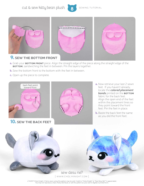cut & sew kitty bean plush and sewing tutorial





- a. Grab your **BOTTOM FRONT** piece. Align the straight edge of the piece along the straight edge of the **bottom**, sandwiching the feet in between. Pin the layers together.
- **b.** Sew the bottom front to the bottom with the feet in between.
- c. Open up the piece to complete.



10. **sew the back feet**



- a. Now retrieve your last 2 sewn feet. If you haven't already, locate the *colored placement*  **bands** printed on the **BOTTOM** fabric for the back feet. Align the open end of the feet within the placement lines so they point toward the front feet. Pin the feet in place.
- **b.** Baste the back feet the same as you did the front feet.



// ©2017 Choly Knight // Items sewn using this pattern may be sold. Credit to "Choly Knight" or "Sew Desu Ne?" is appreciated.<br>You may not reproduce, share, freely distribute, or sell this pattern as your own in digital or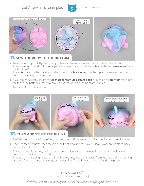cut & sew kitty bean plush of sewing tutorial





a. Take the top of your kitty bean that you have so far and align the open end with the bottom. There's a *notch* found on the **face** piece that should align with the *notch* on the **bottom front** (near the front feet).

The *notch* near the back feet should align with the *back seam*. Pin the top all the way around the bottom, matching these notches.

- **b.** If you haven't already, locate the **opening for turning colored band** printed on the **BOTTOM** piece. Sew the top to the bottom all the way around except for this opening that's marked.
- c. Turn the plush right side out.



#### 12. **turn and stuff the plush**

- a. Stuff the body firmly with stuffing, pushing the stuffing towards the face until it gets completely full.
- **b.** Once the face is stuffed, then focus on the front area until it fills out. Finally work on the sides, back and center until they're full.
- c. Once the plush is stuffed, make sure the seam allowances in the opening are tucked inside and prepare to ladder stitch it closed.

Thread a hand-sewing needle and knot it at the end. Insert the needle from the inside of the opening and out of the plush near one edge of the opening. This will leave the knot inside the plush.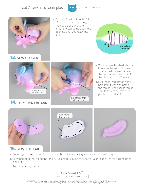cut & sew kitty bean plush 10 sewing Tutorial





a. Take a 1/8" stitch into the fold of one side of the opening, then go across and take another. Keep going down the opening until you reach the end.



13. **sew closed**



14. **trim the thread**



- a. When you're finished, stitch a knot into the end of the seam. Then insert the needle near the finished knot and out of the plush about 1-2" away.
- **b.** Pull the thread through and hold it taut while snipping the thread. The excess thread should sink back inside the plush -- all hidden!



- a. Cut out your **tail** pieces. Align them with right sides facing and raw edges matching up.
- **b.** Sew them together along the long curved edge, leaving the short straight edge free for turning right side out.
- c. Turn the tail right side out.